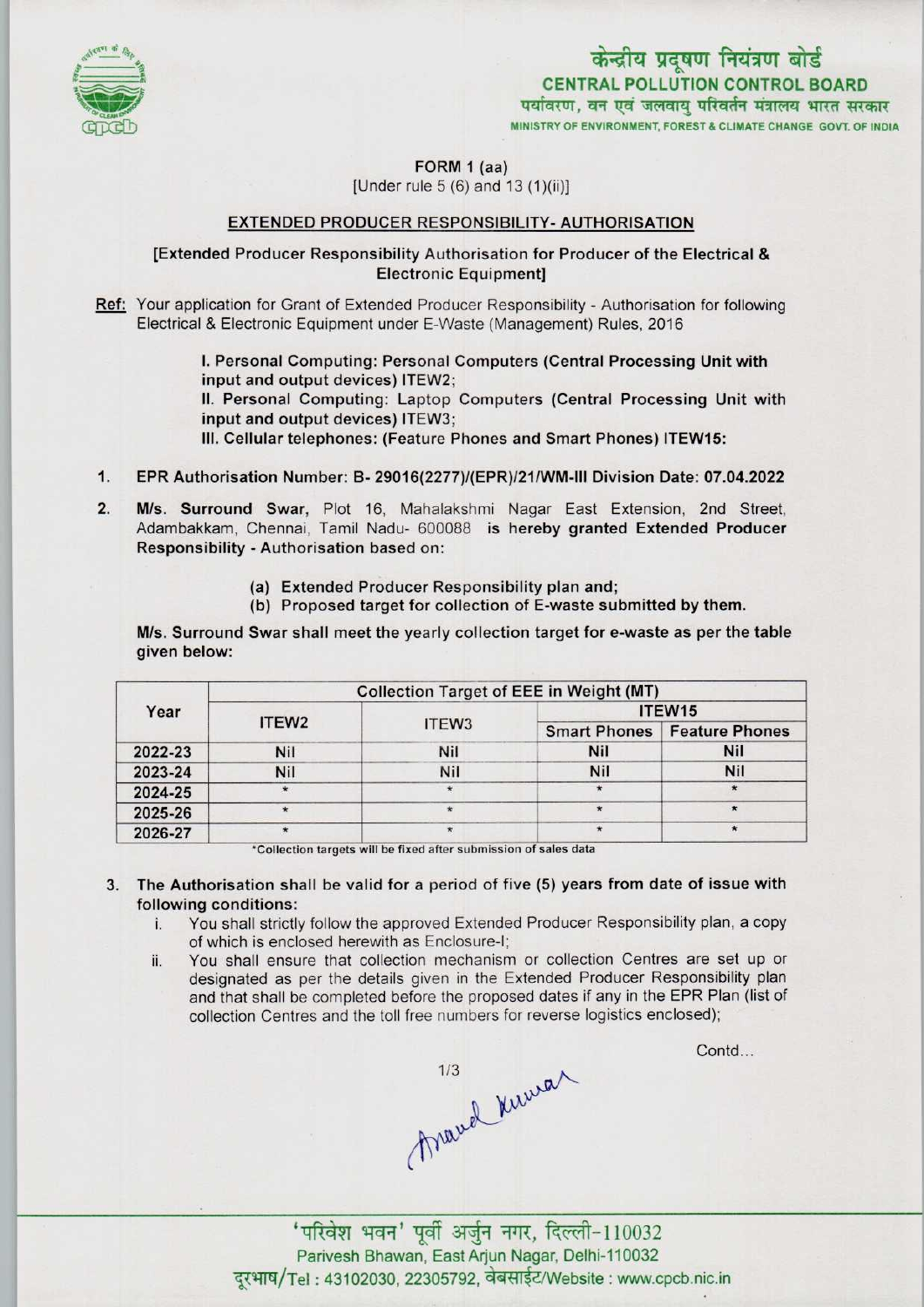

# केन्द्रीय प्रदूषण नियंत्रण बोर्ड CENTRAL POLLUTION CONTROL BOARD<br>पर्यावरण, वन एवं जलवाय परिवर्तन मंत्रालय भारत सरकार MINISTRY OF ENVIRONMENT, FOREST & CLIMATE CHANGE GOVT. OF INDIA

FORM 1 (aa)

[Under rule 5 (6) and 13 (1)(ii)]

### EXTENDED PRODUCER RESPONSIBILITY- AUTHORISATION

#### [Extended Producer Responsibility Authorisation for Producer of the Electrical & Electronic Equipment]

Ref: Your application for Grant of Extended Producer Responsibility - Authorisation for following Electrical & Electronic Equipment under E-Waste (Management) Rules, 2016

> I.Personal Computing: Personal Computers (Central Processing Unit with input and output devices) ITEW2;

II. Personal Computing: Laptop Computers (Central Processing Unit with input and output devices) ITEW3;

III.Cellular telephones: (Feature Phones and Smart Phones) ITEW15:

- 1.EPR Authorisation Number: B- 29016(2277)/(EPR)/21/WM-tll Division Date: 07.04.2022
- 2. EPR Authorisation Number: B- 29016(2277)/(EPR)/21/WM-III Division Date: 07.04.2022<br>2. M/s. Surround Swar, Plot 16, Mahalakshmi Nagar East Extension, 2nd Street<br>Adambakkam Chennai Tamil Nadu, 600088, is bereby granted Ex M/s. Surround Swar, Plot 16, Mahalakshmi Nagar East Extension, 2nd Street, Adambakkam, Chennai, Tamil Nadu- 600088 is hereby granted Extended Producer Responsibility - Authorisation based on:
	- (a)Extended Producer Responsibility plan and;
	- (b) Proposed target for collection of E-waste submitted by them.

M/s. Surround Swar shall meet the yearly collection target for e-waste as per the table given below:

| Year    | <b>Collection Target of EEE in Weight (MT)</b> |                   |                    |                                      |
|---------|------------------------------------------------|-------------------|--------------------|--------------------------------------|
|         | ITEW <sub>2</sub>                              | ITEW <sub>3</sub> | ITEW <sub>15</sub> |                                      |
|         |                                                |                   |                    | <b>Smart Phones   Feature Phones</b> |
| 2022-23 | <b>Nil</b>                                     | Nil               | <b>Nil</b>         | <b>Nil</b>                           |
| 2023-24 | Nil                                            | Nil               | <b>Nil</b>         | Nil                                  |
| 2024-25 | $\star$                                        |                   | $\ast$             |                                      |
| 2025-26 | $\star$                                        |                   |                    |                                      |
| 2026-27 | $\star$                                        |                   |                    |                                      |

'Collection targets will be fixed after submission of sales data

- 3. The Authorisation shall be valid for a period of five (5) years from date of issue with following conditions:<br>i. You shall strictly
	- You shall strictly follow the approved Extended Producer Responsibility plan, a copy of which is enclosed herewith as Enclosure-I;
	- ii. You shall ensure that collection mechanism or collection Centres are set up or designated as per the details given in the Extended Producer Responsibility plan and that shall be completed before the proposed dates if any in the EPR Plan (list of collection Centres and the toll free numbers for reverse logistics enclosed);

March Kurran

Contd...

'परिवेश भवन' पूर्वी अर्जुन नगर, दिल्ली-110032 Parivesh Bhawan, East Arjun Nagar, Delhi-110032 दूरभाष/Tel: 43102030, 22305792, वेबसाईट/Website: www.cpcb.nic.in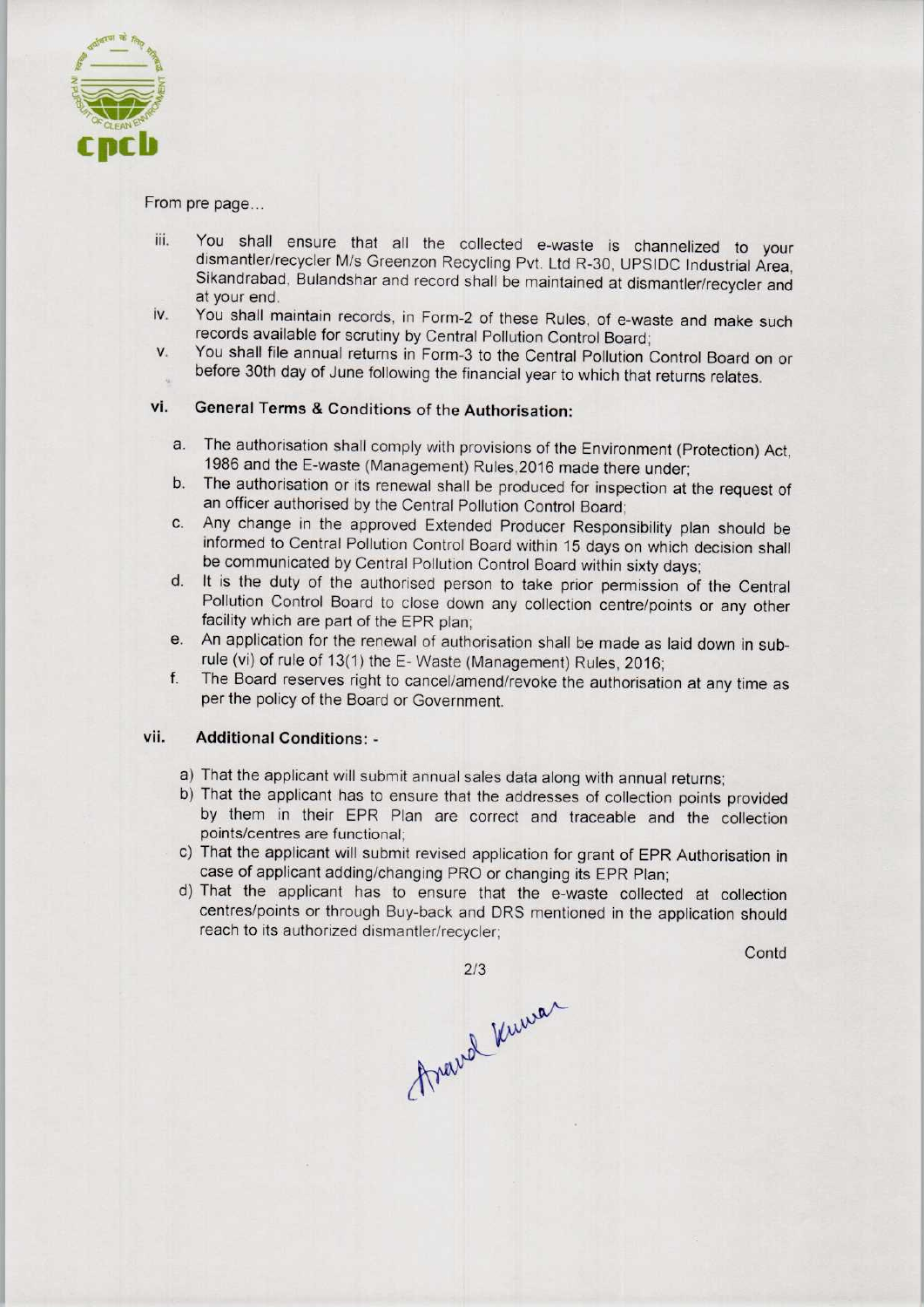

From pre page...

- iii. You shall ensure that all the collected e-waste is channelized to your dismantler/recycler M/s Greenzon Recycling Pvt. Ltd R-30, UPSIDC Industrial Area, Sikandrabad, Bulandshar and record shall be maintained at dismantler/recycler and at your end.
- iv. You shall maintain records, in Form-2 of these Rules, of e-waste and make such records available for scrutiny by Central Pollution Control Board;
- v. You shall file annual returns in Form-3 to the Central Pollution Control Board on or before 30th day of June following the financial year to which that returns relates.

## vi. General Terms & Conditions of the Authorisation:

- a.The authorisation shall comply with provisions of the Environment (Protection) Act, 1986 and the E-waste (Management) Rules, 2016 made there under;
- b.The authorisation or its renewal shall be produced for inspection at the request of an officer authorised by the Central Pollution Control Board;
- c.Any change in the approved Extended Producer Responsibility plan should be informed to Central Pollution Control Board within 15 days on which decision shall be communicated by Central Pollution Control Board within sixty days;
- d. It is the duty of the authorised person to take prior permission of the Central Pollution Control Board to close down any collection centre/points or any other facility which are part of the EPR plan;
- e. An application for the renewal of authorisation shall be made as laid down in subrule (vi) of rule of 13(1) the E- Waste (Management) Rules, 2016;
- f. The Board reserves right to cancel/amend/revoke the authorisation at any time as per the policy of the Board or Government.

#### vii. Additional Conditions: -

- a)That the applicant will submit annual sales data along with annual returns;
- b) That the applicant has to ensure that the addresses of collection points provided by them in their EPR Plan are correct and traceable and the collection points/centres are functional;
- c) That the applicant will submit revised application for grant of EPR Authorisation in case of applicant adding/changing PRO or changing its EPR Plan;
- d)That the applicant has to ensure that the e-waste collected at collection centres/points or through Buy-back and DRS mentioned in the application should reach to its authorized dismantler/recycler;

**Contd** 

2/3<br>Avairel Kurra